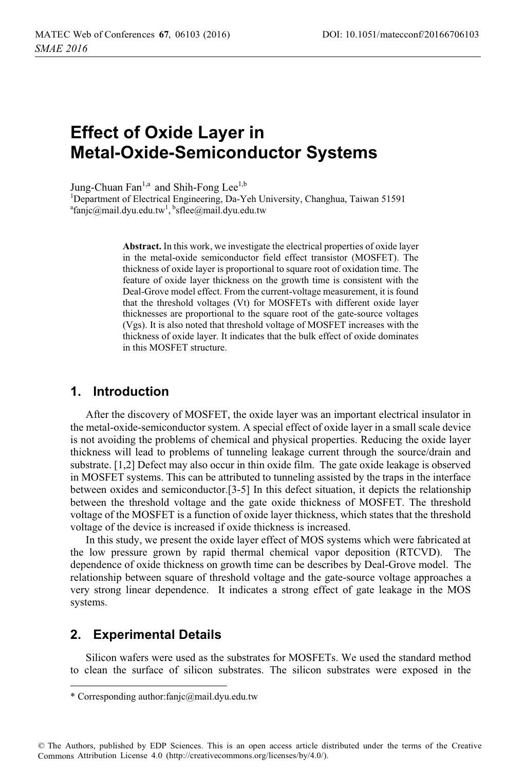# **Effect of Oxide Layer in Metal-Oxide-Semiconductor Systems**

Jung-Chuan Fan<sup>1,a</sup> and Shih-Fong Lee<sup>1,b</sup>

<sup>1</sup>Department of Electrical Engineering, Da-Yeh University, Changhua, Taiwan 51591 <sup>a</sup>fanjc@mail.dyu.edu.tw<sup>1</sup>, bsflee@mail.dyu.edu.tw

> **Abstract.** In this work, we investigate the electrical properties of oxide layer in the metal-oxide semiconductor field effect transistor (MOSFET). The thickness of oxide layer is proportional to square root of oxidation time. The feature of oxide layer thickness on the growth time is consistent with the Deal-Grove model effect. From the current-voltage measurement, it is found that the threshold voltages (Vt) for MOSFETs with different oxide layer thicknesses are proportional to the square root of the gate-source voltages (Vgs). It is also noted that threshold voltage of MOSFET increases with the thickness of oxide layer. It indicates that the bulk effect of oxide dominates in this MOSFET structure.

### **1. Introduction**

After the discovery of MOSFET, the oxide layer was an important electrical insulator in the metal-oxide-semiconductor system. A special effect of oxide layer in a small scale device is not avoiding the problems of chemical and physical properties. Reducing the oxide layer thickness will lead to problems of tunneling leakage current through the source/drain and substrate. [1,2] Defect may also occur in thin oxide film. The gate oxide leakage is observed in MOSFET systems. This can be attributed to tunneling assisted by the traps in the interface between oxides and semiconductor.[3-5] In this defect situation, it depicts the relationship between the threshold voltage and the gate oxide thickness of MOSFET. The threshold voltage of the MOSFET is a function of oxide layer thickness, which states that the threshold voltage of the device is increased if oxide thickness is increased.

In this study, we present the oxide layer effect of MOS systems which were fabricated at the low pressure grown by rapid thermal chemical vapor deposition (RTCVD). The dependence of oxide thickness on growth time can be describes by Deal-Grove model. The relationship between square of threshold voltage and the gate-source voltage approaches a very strong linear dependence. It indicates a strong effect of gate leakage in the MOS systems.

#### **2. Experimental Details**

-

Silicon wafers were used as the substrates for MOSFETs. We used the standard method to clean the surface of silicon substrates. The silicon substrates were exposed in the

<sup>\*</sup> Corresponding author:fanjc@mail.dyu.edu.tw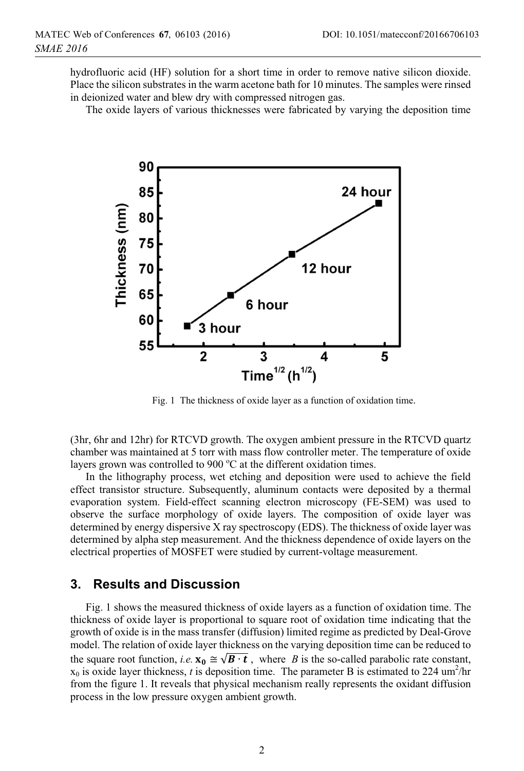hydrofluoric acid (HF) solution for a short time in order to remove native silicon dioxide. Place the silicon substrates in the warm acetone bath for 10 minutes. The samples were rinsed in deionized water and blew dry with compressed nitrogen gas.

The oxide layers of various thicknesses were fabricated by varying the deposition time



Fig. 1 The thickness of oxide layer as a function of oxidation time.

(3hr, 6hr and 12hr) for RTCVD growth. The oxygen ambient pressure in the RTCVD quartz chamber was maintained at 5 torr with mass flow controller meter. The temperature of oxide layers grown was controlled to 900 °C at the different oxidation times.

In the lithography process, wet etching and deposition were used to achieve the field effect transistor structure. Subsequently, aluminum contacts were deposited by a thermal evaporation system. Field-effect scanning electron microscopy (FE-SEM) was used to observe the surface morphology of oxide layers. The composition of oxide layer was determined by energy dispersive X ray spectroscopy (EDS). The thickness of oxide layer was determined by alpha step measurement. And the thickness dependence of oxide layers on the electrical properties of MOSFET were studied by current-voltage measurement.

### **3. Results and Discussion**

Fig. 1 shows the measured thickness of oxide layers as a function of oxidation time. The thickness of oxide layer is proportional to square root of oxidation time indicating that the growth of oxide is in the mass transfer (diffusion) limited regime as predicted by Deal-Grove model. The relation of oxide layer thickness on the varying deposition time can be reduced to the square root function, *i.e.*  $\mathbf{x}_0 \cong \sqrt{B \cdot t}$ , where *B* is the so-called parabolic rate constant,  $x_0$  is oxide layer thickness, *t* is deposition time. The parameter B is estimated to 224 um<sup>2</sup>/hr from the figure 1. It reveals that physical mechanism really represents the oxidant diffusion process in the low pressure oxygen ambient growth.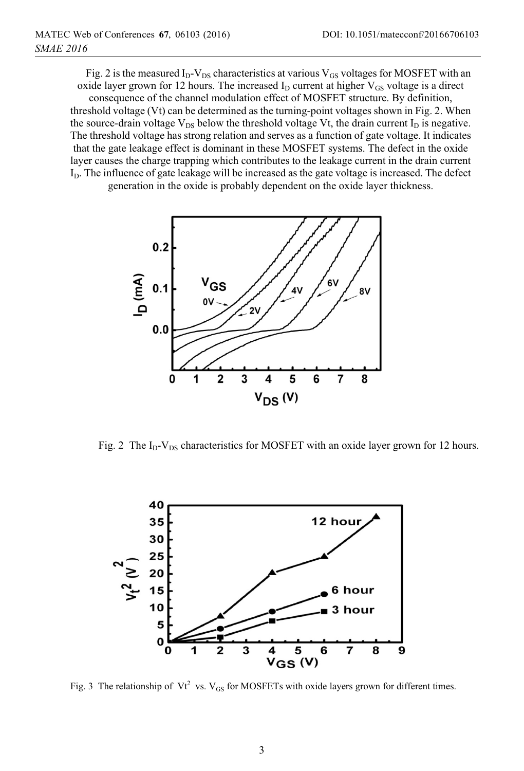Fig. 2 is the measured  $I_D-V_{DS}$  characteristics at various  $V_{GS}$  voltages for MOSFET with an oxide layer grown for 12 hours. The increased  $I<sub>D</sub>$  current at higher  $V<sub>GS</sub>$  voltage is a direct consequence of the channel modulation effect of MOSFET structure. By definition, threshold voltage (Vt) can be determined as the turning-point voltages shown in Fig. 2. When the source-drain voltage  $V_{DS}$  below the threshold voltage Vt, the drain current  $I_D$  is negative. The threshold voltage has strong relation and serves as a function of gate voltage. It indicates that the gate leakage effect is dominant in these MOSFET systems. The defect in the oxide layer causes the charge trapping which contributes to the leakage current in the drain current  $I<sub>D</sub>$ . The influence of gate leakage will be increased as the gate voltage is increased. The defect generation in the oxide is probably dependent on the oxide layer thickness.



Fig. 2 The  $I_D-V_{DS}$  characteristics for MOSFET with an oxide layer grown for 12 hours.



Fig. 3 The relationship of  $Vt^2$  vs.  $V_{GS}$  for MOSFETs with oxide layers grown for different times.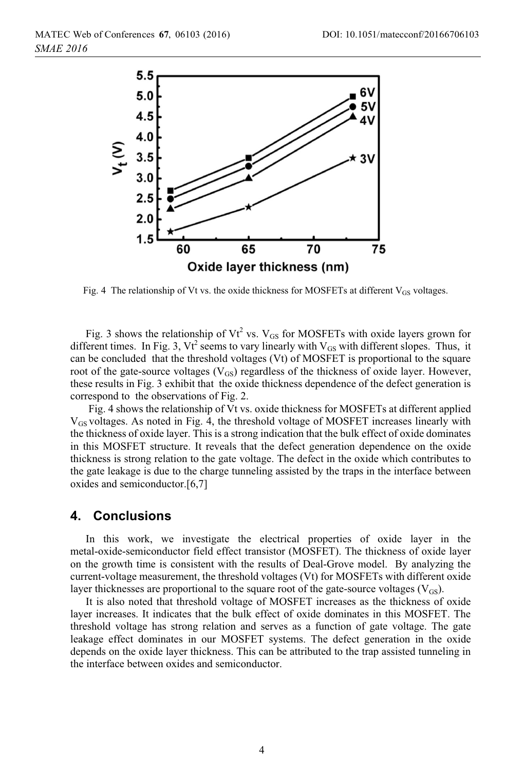

Fig. 4 The relationship of Vt vs. the oxide thickness for MOSFETs at different  $V_{GS}$  voltages.

Fig. 3 shows the relationship of  $Vt^2$  vs.  $V_{GS}$  for MOSFETs with oxide layers grown for different times. In Fig. 3, Vt<sup>2</sup> seems to vary linearly with  $V_{GS}$  with different slopes. Thus, it can be concluded that the threshold voltages (Vt) of MOSFET is proportional to the square root of the gate-source voltages  $(V_{GS})$  regardless of the thickness of oxide layer. However, these results in Fig. 3 exhibit that the oxide thickness dependence of the defect generation is correspond to the observations of Fig. 2.

 Fig. 4 shows the relationship of Vt vs. oxide thickness for MOSFETs at different applied VGS voltages. As noted in Fig. 4, the threshold voltage of MOSFET increases linearly with the thickness of oxide layer. This is a strong indication that the bulk effect of oxide dominates in this MOSFET structure. It reveals that the defect generation dependence on the oxide thickness is strong relation to the gate voltage. The defect in the oxide which contributes to the gate leakage is due to the charge tunneling assisted by the traps in the interface between oxides and semiconductor.[6,7]

#### **4. Conclusions**

In this work, we investigate the electrical properties of oxide layer in the metal-oxide-semiconductor field effect transistor (MOSFET). The thickness of oxide layer on the growth time is consistent with the results of Deal-Grove model. By analyzing the current-voltage measurement, the threshold voltages (Vt) for MOSFETs with different oxide layer thicknesses are proportional to the square root of the gate-source voltages  $(V_{GS})$ .

It is also noted that threshold voltage of MOSFET increases as the thickness of oxide layer increases. It indicates that the bulk effect of oxide dominates in this MOSFET. The threshold voltage has strong relation and serves as a function of gate voltage. The gate leakage effect dominates in our MOSFET systems. The defect generation in the oxide depends on the oxide layer thickness. This can be attributed to the trap assisted tunneling in the interface between oxides and semiconductor.